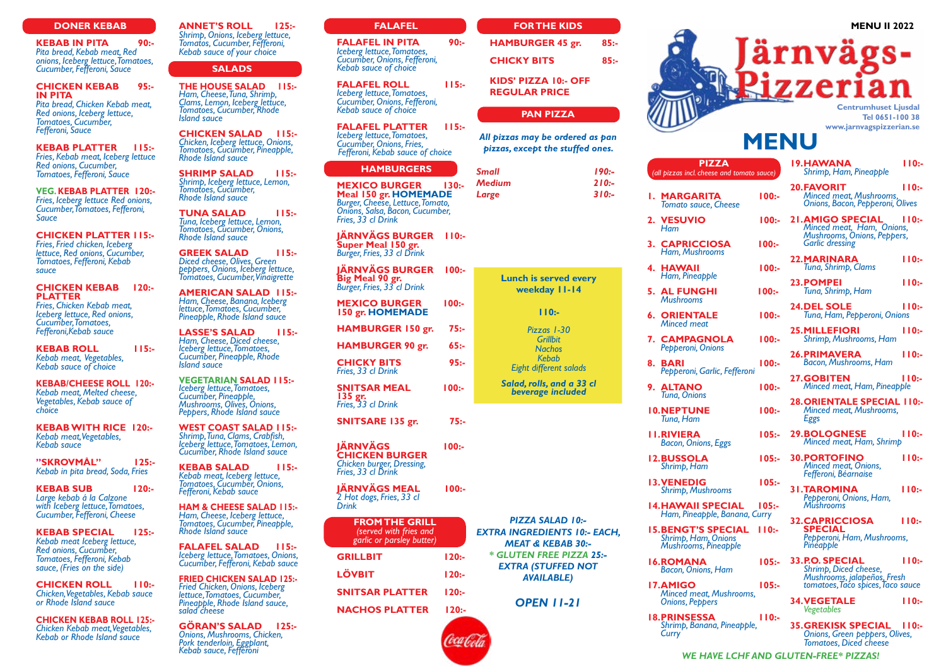# **MENU II 2022**

**Centrumhuset Ljusdal Tel 0651-100 38 www.jarnvagspizzerian.se**

# **MENU**

**KEBAB IN PITA** 90:-<br>Pita bread, Kebab meat, Red *Pita bread, Kebab meat, Red onions, Iceberg lettuce, Tomatoes, Cucumber, Fefferoni, Sauce*

**KEBAB ROLL 115:-***Kebab meat, Vegetables, Kebab sauce of choice*

**KEBAB SPECIAL 125:-** *Kebab meat Iceberg lettuce, Fomatoes, Fefferoni, Kebab sauce, (Fries on the side)* 

**CHICKEN SALAD 115:-***Chicken, Iceberg lettuce, Onions, Tomatoes, Cucumber, Pineapple, Rhode Island sauce*

### **DONER KEBAB**

**CHICKEN KEBAB 95:- IN PITA**

*Pita bread, Chicken Kebab meat, Red onions, Iceberg lettuce, Tomatoes, Cucumber, Fefferoni, Sauce*

**KEBAB PLATTER 115:-** *Fries, Kebab meat, Iceberg lettuce Red onions, Cucumber, Tomatoes, Fefferoni, Sauce*

**VEG. KEBAB PLATTER 120:-** *Fries, Iceberg lettuce Red onions, Cucumber, Tomatoes, Fefferoni, Sauce*

**CHICKEN PLATTER 115:-**

*Fries, Fried chicken, Iceberg lettuce, Red onions, Cucumber, Tomatoes, Fefferoni, Kebab sauce*

### **CHICKEN KEBAB 120:- PLATTER**

*Fries, Chicken Kebab meat, Iceberg lettuce, Red onions, Cucumber, Tomatoes, Fefferoni,Kebab sauce*

**FALAFEL ROLL 115:-***Iceberg lettuce, Tomatoes, Cucumber, Onions, Fefferoni, Kebab sauce of choice*

**KEBAB/CHEESE ROLL 120:-** *Kebab meat, Melted cheese, Vegetables, Kebab sauce of choice*

**KEBAB WITH RICE 120:-** *Kebab meat, Vegetables, Kebab sauce*

**"SKROVMÅL" 125:-** *Kebab in pita bread, Soda, Fries*

**KEBAB SUB 120:-** *Large kebab á la Calzone with Iceberg lettuce, Tomatoes, Cucumber, Fefferoni, Cheese*

| <b>SHRIMP SALAD</b><br>115:                                                                                       | <b>HAMBURGERS</b>                                                                 |                      | $190: -$<br><b>Small</b>                                            | <b>PIZZA</b><br>(all pizzas incl. cheese and tomato sauce)             |  | <b>19.HAWANA</b><br>Shrimp, Ham, Pineapple                                                          | 110:     |  |
|-------------------------------------------------------------------------------------------------------------------|-----------------------------------------------------------------------------------|----------------------|---------------------------------------------------------------------|------------------------------------------------------------------------|--|-----------------------------------------------------------------------------------------------------|----------|--|
| Shrimp, Iceberg lettuce, Lemon,<br>Tomatoes, Cucumber,<br><b>Rhode Island sauce</b>                               | <b>MEXICO BURGER</b><br>Meal 150 gr. HOMEMADE<br>Burger, Cheese, Lettuce, Tomato, | $130: -$             | $210:-$<br><b>Medium</b><br>$310:-$<br>Large                        | <b>I. MARGARITA</b><br>$100:-$<br><b>Tomato sauce, Cheese</b>          |  | <b>20.FAVORIT</b><br><b>Minced meat, Mushrooms,</b><br>Onions, Bacon, Pepperoni, Olives             | 110:     |  |
| $115: -$<br><b>TUNA SALAD</b><br>Tuna, Iceberg lettuce, Lemon,<br>Tomatoes, Cucumber, Onions,                     | Onions, Salsa, Bacon, Cucumber,<br>Fries, 33 cl Drink                             |                      |                                                                     | 2. VESUVIO<br>$100:-$<br>Ham                                           |  | <b>21.AMIGO SPECIAL</b><br>Minced meat, Ham, Onions,                                                | 110:     |  |
| <b>Rhode Island sauce</b><br><b>GREEK SALAD</b><br>115:                                                           | <b>JÄRNVÄGS BURGER</b><br>Super Meal 150 gr.<br>Burger, Fries, 33 cl Drink        | 110:                 |                                                                     | <b>3. CAPRICCIOSA</b><br>$100:-$<br>Ham, Mushrooms                     |  | <b>Mushrooms, Onions, Peppers,</b><br><b>Garlic dressing</b>                                        |          |  |
| Diced cheese, Olives, Green<br>peppers, Onions, Iceberg lettuce,                                                  | <b>JÄRNVÄGS BURGER</b>                                                            | 100:                 |                                                                     | 4. HAWAII<br>$100:-$                                                   |  | <b>22.MARINARA</b><br>Tuna, Shrimp, Clams                                                           | 110:     |  |
| <b>Tomatoes, Cucumber, Vinaigrette</b><br><b>AMERICAN SALAD 115:-</b>                                             | Big Meal 90 gr.<br>Burger, Fries, 33 cl Drink                                     |                      | <b>Lunch is served every</b><br>weekday 11-14                       | Ham, Pineapple<br><b>5. AL FUNGHI</b><br>$100:-$                       |  | 23. POMPEI<br>Tuna, Shrimp, Ham                                                                     | 110:     |  |
| Ham, Cheese, Banana, Iceberg<br>lettuce, Tomatoes, Cucumber,<br>Pineapple, Rhode Island sauce                     | <b>MEXICO BURGER</b><br>150 gr. HOMEMADE                                          | $100:-$              | 110:                                                                | <b>Mushrooms</b><br><b>ORIENTALE</b><br>$100:-$<br>6.                  |  | <b>24.DEL SOLE</b><br>Tuna, Ham, Pepperoni, Onions                                                  | 110:     |  |
| <b>LASSE'S SALAD</b><br>115:<br>Ham, Cheese, Diced cheese,                                                        | HAMBURGER 150 gr.                                                                 | $75: -$              | Pizzas 1-30<br><b>Grillbit</b>                                      | <b>Minced meat</b><br>$100:-$<br>7. CAMPAGNOLA                         |  | <b>25.MILLEFIORI</b><br>Shrimp, Mushrooms, Ham                                                      | 110:     |  |
| Iceberg lettuce, Tomatoes,<br>Cucumber, Pineapple, Rhode<br><b>Island sauce</b>                                   | <b>HAMBURGER 90 gr.</b><br><b>CHICKY BITS</b>                                     | $65: -$<br>$95: -$   | <b>Nachos</b><br><b>Kebab</b>                                       | Pepperoni, Onions<br>$100:-$<br>8.<br><b>BARI</b>                      |  | <b>26.PRIMAVERA</b><br><b>Bacon, Mushrooms, Ham</b>                                                 | 110:     |  |
| <b>VEGETARIAN SALAD 115:-</b>                                                                                     | Fries, 33 cl Drink<br><b>SNITSAR MEAL</b>                                         | $100:-$              | Eight different salads<br>Salad, rolls, and a 33 cl                 | Pepperoni, Garlic, Fefferoni<br>9. ALTANO<br>100:                      |  | <b>27.GOBITEN</b><br>Minced meat, Ham, Pineapple                                                    | 110:     |  |
| Iceberg lettuce, Tomatoes,<br>Cucumber, Pineapple,<br>Mushrooms, Olives, Onions,<br>Peppers, Rhode Island sauce   | $135$ gr.<br>Fries, 33 cl Drink                                                   |                      | beverage included                                                   | Tuna, Onions<br><b>IO.NEPTUNE</b><br>100:                              |  | <b>28. ORIENTALE SPECIAL 110:-</b><br><b>Minced meat, Mushrooms,</b>                                |          |  |
| <b>WEST COAST SALAD 115:-</b>                                                                                     | SNITSARE 135 gr.                                                                  | $75: -$              |                                                                     | Tuna, Ham<br><b>II.RIVIERA</b><br>$105: -$                             |  | <b>Eggs</b><br><b>29.BOLOGNESE</b>                                                                  | 110:     |  |
| Shrimp, Tuna, Clams, Crabfish,<br>Iceberg lettuce, Tomatoes, Lemon,<br>Cucumber, Rhode Island sauce               | <b>JÄRNVÄGS</b><br><b>CHICKEN BURGER</b>                                          | $100:-$              |                                                                     | <b>Bacon, Onions, Eggs</b>                                             |  | Minced meat, Ham, Shrimp                                                                            |          |  |
| <b>KEBAB SALAD</b><br>115:<br>Kebab meat, Iceberg lettuce,                                                        | <b>Chicken burger, Dressing,</b><br>Fries, 33 cl Drink                            |                      |                                                                     | <b>12.BUSSOLA</b><br>$105: -$<br>Shrimp, Ham                           |  | <b>30.PORTOFINO</b><br><b>Minced meat, Onions,</b><br>Fefferoni, Béarnaise                          | 110:     |  |
| Tomatoes, Cucumber, Onions,<br>Fefferoni, Kebab sauce                                                             | <b>JÄRNVÄGS MEAL</b><br>2 Hot dogs, Fries, 33 cl                                  | $100:-$              |                                                                     | <b>13. VENEDIG</b><br>$105: -$<br><b>Shrimp, Mushrooms</b>             |  | <b>31.TAROMINA</b><br>Pepperoni, Onions, Ham,                                                       | 110:     |  |
| <b>HAM &amp; CHEESE SALAD 115:-</b><br>Ham, Cheese, Iceberg lettuce,<br>Tomatoes, Cucumber, Pineapple,            | <b>Drink</b><br><b>FROM THE GRILL</b>                                             |                      | <b>PIZZA SALAD 10:-</b>                                             | <b>14. HAWAII SPECIAL</b><br>$105: -$<br>Ham, Pineapple, Banana, Curry |  | <b>Mushrooms</b><br><b>32.CAPRICCIOSA</b>                                                           | $110: -$ |  |
| Rhode Island sauce                                                                                                | (served with fries and<br>garlic or parsley butter)                               |                      | <b>EXTRA INGREDIENTS 10:- EACH,</b><br><b>MEAT &amp; KEBAB 30:-</b> | <b>IS.BENGT'S SPECIAL 110:-</b><br>Shrimp, Ham, Onions                 |  | <b>SPECIAL</b><br>Pepperoni, Ham, Mushrooms,<br><b>Pineapple</b>                                    |          |  |
| <b>FALAFEL SALAD</b><br>115:<br>Iceberg lettuce, Tomatoes, Onions,<br>Cucumber, Fefferoni, Kebab sauce            | <b>GRILLBIT</b>                                                                   | $120: -$             | * GLUTEN FREE PIZZA 25:-<br><b>EXTRA (STUFFED NOT</b>               | <b>Mushrooms, Pineapple</b><br><b>16.ROMANA</b><br>105:                |  | 33.P.O. SPECIAL                                                                                     | 110:     |  |
| <b>FRIED CHICKEN SALAD 125:-</b><br>Fried Chicken, Onions, Iceberg                                                | <b>LÖVBIT</b>                                                                     | $120: -$             | <b>AVAILABLE)</b>                                                   | Bacon, Onions, Ham<br><b>17.AMIGO</b><br>$105: -$                      |  | Shrimp, Diced cheese,<br>Mushrooms, jalapeños, Fresh<br>tomatoes, Taco spices, Taco sauce           |          |  |
| lettuce, Tomatoes, Cucumber,<br>Pineapple, Rhode Island sauce,<br>salad cheese                                    | <b>SNITSAR PLATTER</b><br><b>NACHOS PLATTER</b>                                   | $120: -$<br>$120: -$ | <b>OPEN 11-21</b>                                                   | <b>Minced meat, Mushrooms,</b><br><b>Onions, Peppers</b>               |  | <b>34. VEGETALE</b><br><b>Vegetables</b>                                                            | 110:     |  |
| <b>GÖRAN'S SALAD</b> 125:-<br>Önions, Mushrooms, Chicken,<br>Pork tenderloin, Eggplant,<br>Kebab sauce, Fefferoni |                                                                                   |                      |                                                                     | <b>18.PRINSESSA</b><br>110:<br>Shrimp, Banana, Pineapple,<br>Curry     |  | <b>35.GREKISK SPECIAL</b><br><b>Onions, Green peppers, Olives,</b><br><b>Tomatoes, Diced cheese</b> | 110:     |  |
|                                                                                                                   |                                                                                   |                      |                                                                     | WE HAVE LCHF AND GLUTEN-FREE* PIZZAS!                                  |  |                                                                                                     |          |  |

**CHICKEN ROLL 110:-** *Chicken, Vegetables, Kebab sauce or Rhode Island sauce*

**CHICKEN KEBAB ROLL 125:-** *Chicken Kebab meat, Vegetables, Kebab or Rhode Island sauce*

**ANNET'S ROLL 125:-** *Shrimp, Onions, Iceberg lettuce, Tomatos, Cucumber, Fefferoni, Kebab sauce of your choice*

# **SALADS**

**THE HOUSE SALAD 115:-** *Ham, Cheese, Tuna, Shrimp, Clams, Lemon, Iceberg lettuce, Tomatoes, Cucumber, Rhode Island sauce*

### **FALAFEL**

**FALAFEL IN PITA 90:-** *Iceberg lettuce, Tomatoes, Cucumber, Onions, Fefferoni, Kebab sauce of choice*

**FALAFEL PLATTER 115:-** *Iceberg lettuce, Tomatoes, Cucumber, Onions, Fries, Fefferoni, Kebab sauce of choice*

### **HAMBURGERS**

| <b>FROM THE GRILL</b><br>(served with fries and<br>garlic or parsley butter) |          |
|------------------------------------------------------------------------------|----------|
| <b>GRILLBIT</b>                                                              | $120: -$ |
| <b>LÖVBIT</b>                                                                | 120:-    |
| <b>SNITSAR PLATTER</b>                                                       | 120:     |

# **FOR THE KIDS**

| <b>HAMBURGER 45 gr.</b>                      | $85: -$ |
|----------------------------------------------|---------|
| <b>CHICKY BITS</b>                           | 85:-    |
| KIDS' PIZZA 10:- OFF<br><b>REGULAR PRICE</b> |         |
|                                              |         |

# **PAN PIZZA**

*All pizzas may be ordered as pan pizzas, except the stuffed ones.*

| Small  | <u> 190:-</u> |
|--------|---------------|
| Medium | 210:-         |
| Large  | 310:          |
|        |               |